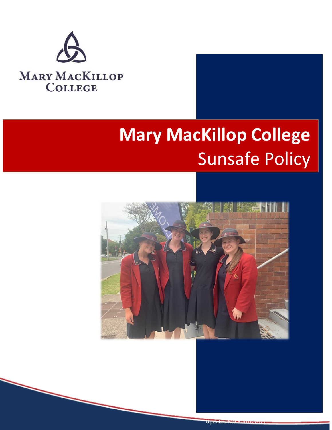

# **Mary MacKillop College** Sunsafe Policy

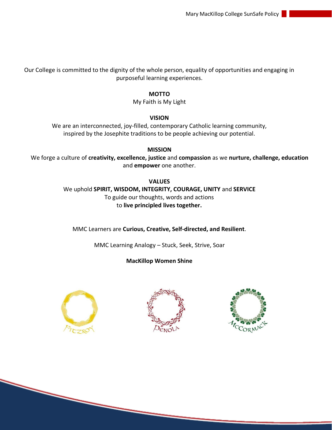Our College is committed to the dignity of the whole person, equality of opportunities and engaging in purposeful learning experiences.

### **MOTTO**

My Faith is My Light

### **VISION**

We are an interconnected, joy-filled, contemporary Catholic learning community, inspired by the Josephite traditions to be people achieving our potential.

**MISSION** We forge a culture of **creativity, excellence, justice** and **compassion** as we **nurture, challenge, education**  and **empower** one another.

> **VALUES** We uphold **SPIRIT, WISDOM, INTEGRITY, COURAGE, UNITY** and **SERVICE** To guide our thoughts, words and actions to **live principled lives together.**

MMC Learners are **Curious, Creative, Self-directed, and Resilient**.

MMC Learning Analogy – Stuck, Seek, Strive, Soar

## **MacKillop Women Shine**